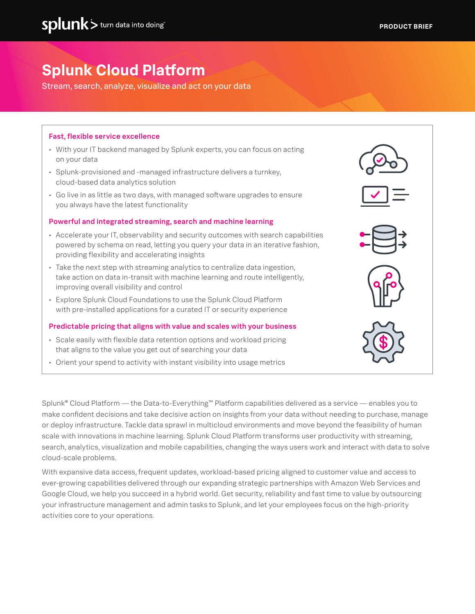# **Splunk Cloud Platform**

Stream, search, analyze, visualize and act on your data

# Fast, flexible service excellence

- With your IT backend managed by Splunk experts, you can focus on acting on your data
- Splunk-provisioned and -managed infrastructure delivers a turnkey, cloud-based data analytics solution
- Go live in as little as two days, with managed software upgrades to ensure you always have the latest functionality

# Powerful and integrated streaming, search and machine learning

- Accelerate your IT, observability and security outcomes with search capabilities powered by schema on read, letting you query your data in an iterative fashion, providing flexibility and accelerating insights
- Take the next step with streaming analytics to centralize data ingestion, take action on data in-transit with machine learning and route intelligently, improving overall visibility and control
- Explore Splunk Cloud Foundations to use the Splunk Cloud Platform with pre-installed applications for a curated IT or security experience

# Predictable pricing that aligns with value and scales with your business

- Scale easily with flexible data retention options and workload pricing that aligns to the value you get out of searching your data
- Orient your spend to activity with instant visibility into usage metrics

Splunk® Cloud Platform — the Data-to-Everything™ Platform capabilities delivered as a service — enables you to make confident decisions and take decisive action on insights from your data without needing to purchase, manage or deploy infrastructure. Tackle data sprawl in multicloud environments and move beyond the feasibility of human scale with innovations in machine learning. Splunk Cloud Platform transforms user productivity with streaming, search, analytics, visualization and mobile capabilities, changing the ways users work and interact with data to solve cloud-scale problems.

With expansive data access, frequent updates, workload-based pricing aligned to customer value and access to ever-growing capabilities delivered through our expanding strategic partnerships with Amazon Web Services and Google Cloud, we help you succeed in a hybrid world. Get security, reliability and fast time to value by outsourcing your infrastructure management and admin tasks to Splunk, and let your employees focus on the high-priority activities core to your operations.